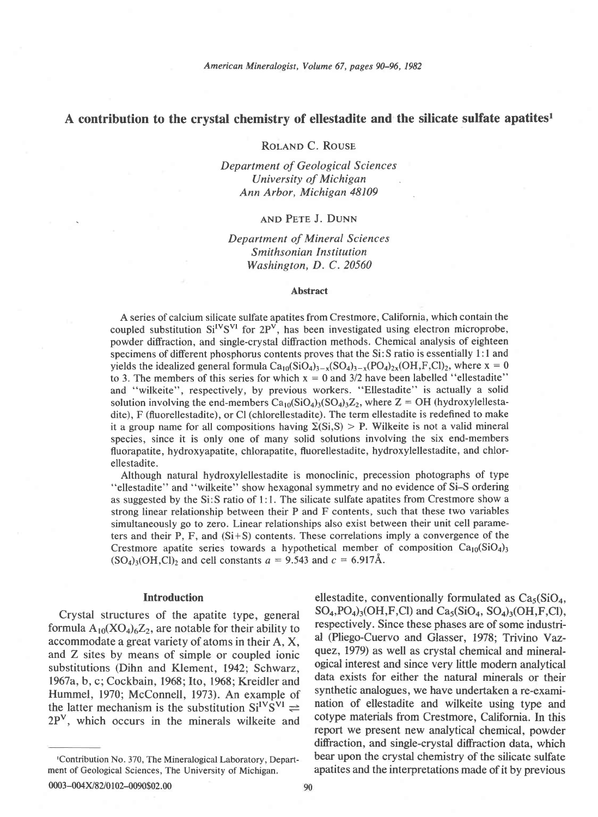## A contribution to the crystal chemistry of ellestadite and the silicate sulfate apatites<sup>1</sup>

ROLAND C. ROUSE

Department of Geological Sciences University of Michigan Ann Arbor, Michigan 48109

#### and Pete J. DUNN

# Department of Mineral Sciences Smithsonian Institution Washington, D. C. 20560

#### Abstract

A series of calcium silicate sulfate apatites from Crestmore, California, which contain the coupled substitution  $Si<sup>IV</sup>S<sup>VI</sup>$  for  $2P<sup>V</sup>$ , has been investigated using electron microprobe, powder diffraction, and single-crystal diffraction methods. Chemical analysis of eighteen specimens of different phosphorus contents proves that the Si: S ratio is essentially 1:1 and yields the idealized general formula  $Ca_{10}(SiO_4)_{3-x}(SO_4)_{3-x}(PO_4)_{2x}(OH,F,Cl)_2$ , where  $x = 0$ to 3. The members of this series for which  $x = 0$  and 3/2 have been labelled "ellestadite" and "wilkeite", respectively, by previous workers. "Ellestadite" is actually a solid solution involving the end-members  $Ca_{10}(SiO<sub>4</sub>)<sub>3</sub>(SO<sub>4</sub>)<sub>3</sub>Z<sub>2</sub>$ , where Z = OH (hydroxylellestadite), F (fluorellestadite), or Cl (chlorellestadite). The term ellestadite is redefined to make it a group name for all compositions having  $\Sigma(Si,S) > P$ . Wilkeite is not a valid mineral species, since it is only one of many solid solutions involving the six end-members fluorapatite, hydroxyapatite, chlorapatite, fluorellestadite, hydroxylellestadite, and chlorellestadite.

Although natural hydroxylellestadite is monoclinic, precession photographs of type "ellestadite" and "wilkeite" show hexagonal symmetry and no evidence of Si-S ordering as suggested by the Si: S ratio of 1:1. The silicate sulfate apatites from Crestmore show a strong linear relationship between their P and F contents, such that these two variables simultaneously go to zero. Linear relationships also exist between their unit cell parameters and their P, F, and (Si+S) contents. These correlations imply a convergence of the Crestmore apatite series towards a hypothetical member of composition  $Ca_{10}(SiO<sub>4</sub>)$  $(SO<sub>4</sub>)<sub>3</sub>(OH, Cl)<sub>2</sub>$  and cell constants  $a=9.543$  and  $c=6.917\text{\AA}$ .

#### Introduction

Crystal structures of the apatite type, general formula  $A_{10}(XO_4)_6Z_2$ , are notable for their ability to accommodate a great variety of atoms in their A, X, and Z sites by means of simple or coupled ionic substitutions (Dihn and Klement, 1942; Schwarz, 1967a, b, c; Cockbain, 1968; Ito, 1968; Kreidler and Hummel, 1970; McConnell, 1973). An example of the latter mechanism is the substitution  $Si<sup>IV</sup>S<sup>VI</sup>$   $\rightleftharpoons$ 2Pv, which occurs in the minerals wilkeite and

ellestadite, conventionally formulated as  $Ca<sub>5</sub>(SiO<sub>4</sub>)$ ,  $SO_4$ ,  $PO_4$ )<sub>3</sub>( $OH$ ,  $F$ ,  $Cl$ ) and  $Ca_5(SiO_4, SO_4)$ <sub>3</sub>( $OH$ ,  $F$ ,  $Cl$ ), respectively. Since these phases are of some industrial (Pliego-Cuervo and Glasser, 1978; Trivino Yazquez, 1979) as well as crystal chemical and mineralogical interest and since very little modern analytical data exists for either the natural minerals or their synthetic analogues, we have undertaken a re-examination of ellestadite and wilkeite using type and cotype materials from Crestmore, California. In this report we present new analytical chemical, powder difraction, and single-crystal diffraction data, which bear upon the crystal chemistry of the silicate sulfate apatites and the interpretations made of it by previous

tContribution No. 370, The Mineralogical Laboratory, Department of Geological Sciences, The University of Michigan.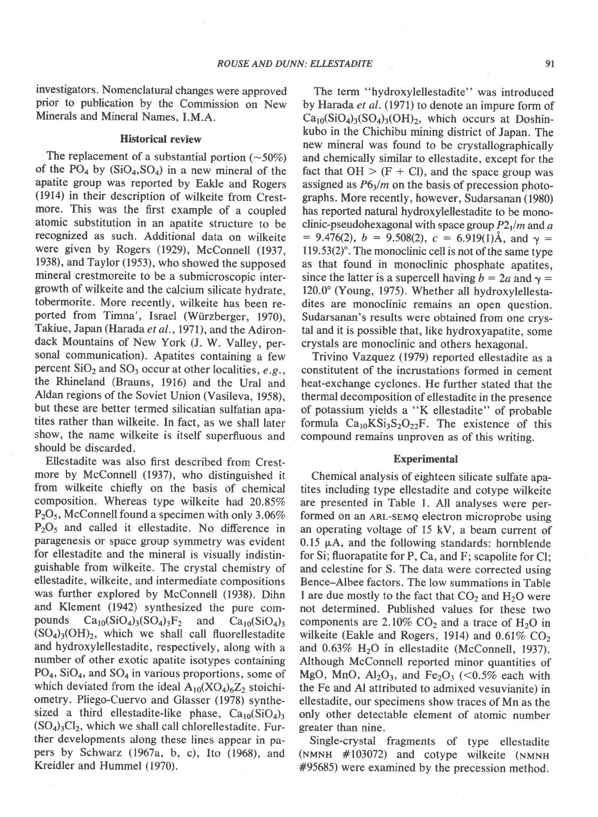investigators. Nomenclatural changes were approved prior to publication by the Commission on New Minerals and Mineral Names, I.M.A.

#### Historical review

The replacement of a substantial portion  $(\sim 50\%)$ of the  $PO_4$  by  $(SiO_4, SO_4)$  in a new mineral of the apatite group was reported by Eakle and Rogers (1914) in their description of wilkeite from Crestmore. This was the first example of a coupled atomic substitution in an apatite structure to be recognized as such. Additional data on wilkeite were given by Rogers (1929), McConnell (1937, 1938), and Taylor (1953), who showed the supposed mineral crestmoreite to be a submicroscopic intergrowth of wilkeite and the calcium silicate hydrate, tobermorite. More recently, wilkeite has been reported from Timna', Israel (Würzberger, 1970), Takiue, Japan (Harada et al., 1971), and the Adirondack Mountains of New York (J. W. Valley, personal communication). Apatites containing a few percent  $SiO<sub>2</sub>$  and  $SO<sub>3</sub>$  occur at other localities, e.g., the Rhineland (Brauns, 1916) and the Ural and Aldan regions of the Soviet Union (Vasileva, 1958), but these are better termed silicatian sulfatian apatites rather than wilkeite. In fact, as we shall later show, the name wilkeite is itself superfluous and should be discarded.

Ellestadite was also first described from Crestmore by McConnell (1937), who distinguished it from wilkeite chiefly on the basis of chemical composition. Whereas type wilkeite had 20.85%  $P_2O_5$ , McConnell found a specimen with only 3.06% P<sub>2</sub>O<sub>5</sub> and called it ellestadite. No difference in paragenesis or space group symmetry was evident for ellestadite and the mineral is visually indistinguishable from wilkeite. The crystal chemistry of ellestadite, wilkeite, and intermediate compositions was further explored by McConnell (1938). Dihn and Klement (1942) synthesized the pure compounds  $Ca_{10}(SiO_4)_3(SO_4)_3F_2$  and  $Ca_{10}(SiO_4)_3$  $(SO<sub>4</sub>)<sub>3</sub>(OH)<sub>2</sub>$ , which we shall call fluorellestadite and hydroxylellestadite, respectively, along with a number of other exotic apatite isotypes containing  $PO<sub>4</sub>$ , SiO<sub>4</sub>, and SO<sub>4</sub> in various proportions, some of which deviated from the ideal  $A_{10}(XO_4)_6Z_2$  stoichiometry. Pliego-Cuervo and Glasser (1978) synthesized a third ellestadite-like phase,  $Ca_{10}(SiO<sub>4</sub>)$ <sub>3</sub>  $(SO<sub>4</sub>)<sub>3</sub>Cl<sub>2</sub>$ , which we shall call chlorellestadite. Further developments along these lines appear in papers by Schwarz (1967a, b, c), Ito (1968), and Kreidler and Hummel (1970).

The term "hydroxylellestadite" was introduced by Harada et al. (1971) to denote an impure form of  $Ca_{10}(SiO<sub>4</sub>)<sub>3</sub>(SO<sub>4</sub>)<sub>3</sub>(OH)<sub>2</sub>$ , which occurs at Doshinkubo in the Chichibu mining district of Japan. The new mineral was found to be crystallographically and chemically similar to ellestadite, except for the fact that  $OH > (F + Cl)$ , and the space group was assigned as  $P6<sub>3</sub>/m$  on the basis of precession photographs. More recently, however, Sudarsanan (1980) has reported natural hydroxylellestadite to be monoclinic-pseudohexagonal with space group  $P2_1/m$  and a  $= 9.476(2), b = 9.508(2), c = 6.919(1)$ Å, and  $\gamma =$  $119.53(2)$ <sup>o</sup>. The monoclinic cell is not of the same type as that found in monoclinic phosphate apatites, since the latter is a supercell having  $b = 2a$  and  $\gamma =$ 120.0' (Young, 1975). Whether all hydroxylellestadites are monoclinic remains an open question. Sudarsanan's results were obtained from one crystal and it is possible that, like hydroxyapatite, some crystals are monoclinic and others hexagonal.

Trivino Yazquez (1979) reported ellestadite as a constitutent of the incrustations formed in cement heat-exchange cyclones. He further stated that the thermal decomposition of ellestadite in the presence of potassium yields a "K ellestadite" of probable formula  $Ca_{10}KSi_3S_2O_{22}F$ . The existence of this compound remains unproven as of this writing.

#### **Experimental**

Chemical analysis of eighteen silicate sulfate apatites including type ellestadite and cotype wilkeite are presented in Table 1. All analyses were performed on an ARL-SEMQ electron microprobe using an operating voltage of 15 kV, a beam current of  $0.15 \mu A$ , and the following standards: hornblende for Si; fluorapatite for P, Ca, and F; scapolite for Cl; and celestine for S. The data were corrected using Bence-Albee factors. The low summations in Table I are due mostly to the fact that  $CO<sub>2</sub>$  and  $H<sub>2</sub>O$  were not determined. Published values for these two components are  $2.10\%$  CO<sub>2</sub> and a trace of H<sub>2</sub>O in wilkeite (Eakle and Rogers, 1914) and  $0.61\%$  CO<sub>2</sub> and  $0.63\%$  H<sub>2</sub>O in ellestadite (McConnell, 1937). Although McConnell reported minor quantities of MgO, MnO,  $Al_2O_3$ , and Fe<sub>2</sub>O<sub>3</sub> (<0.5% each with the Fe and Al attributed to admixed vesuvianite) in ellestadite, our specimens show traces of Mn as the only other detectable element of atomic number greater than nine.

Single-crystal fragments of type ellestadite  $(NMNH$  #103072) and cotype wilkeite  $(NMNH)$ #95685) were examined by the precession method.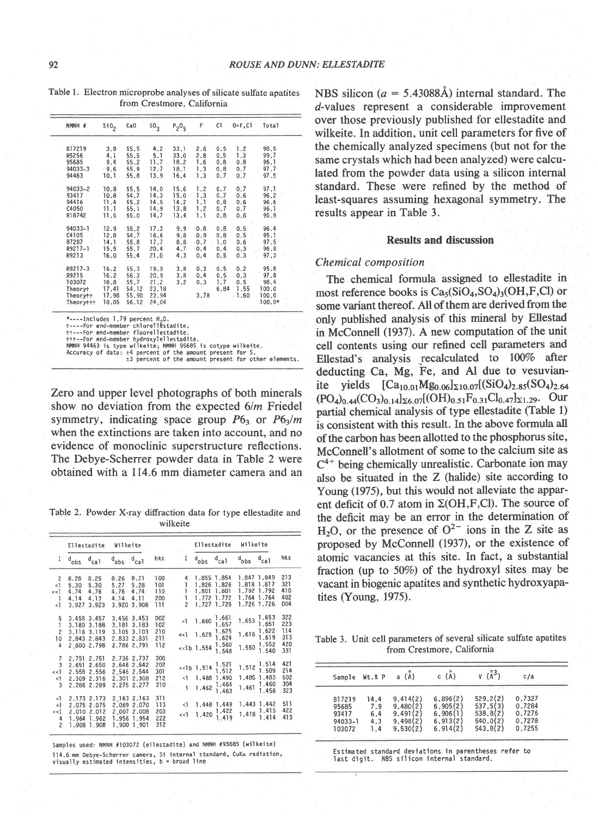| NMNH #    | Si0 <sub>2</sub> | Ca <sub>0</sub> | 50 <sub>3</sub> | $P_2O_5$ | F    | C1   | $0 = F.C1$ | Total    |
|-----------|------------------|-----------------|-----------------|----------|------|------|------------|----------|
| B17219    | 3.8              | 55.5            | 4, 2            | 33.1     | 2.6  | 0.5  | 1.2        | 98.5     |
| R5256     | 4.1              | 55.5            | 5.1             | 33.0     | 2.8  | 0.5  | 1.3        | 99.7     |
| 95685     | 9.4              | 55.2            | 11.7            | 18.2     | 1.6  | 0.8  | 0.8        | 96.1     |
| 94033-3   | 9.6              | 55.9            | 12.7            | 18.1     | 1.3  | 0.8  | 0.7        | 97.7     |
| 94463     | 10.1             | 55.8            | 13.9            | 16.4     | 1.3  | 0.7  | 0.7        | 97.5     |
| 94033-2   | 10.8             | 55.5            | 14.0            | 15.6     | 1.2  | 0.7  | 0.7        | 97.1     |
| 93417     | 10.8             | 54.7            | 14.3            | 15.0     | 1.3  | 0.7  | 0.6        | 96.2     |
| 94416     | 11.4             | 55.2            | 14.5            | 14.2     | 1.1  | 0.8  | 0.6        | 96.6     |
| C4050     | 11.1             | 55.1            | 14.9            | 13.8     | 1,2  | 0.7  | 0.7        | 96.1     |
| R18742    | 11.5             | 55.0            | 14.7            | 13.4     | 1.1  | 0.8  | 0.6        | 95.9     |
| 94033-1   | 12.9             | 55.2            | 17.3            | 9.9      | 0.8  | 0.8  | 0.5        | 96.4     |
| C4105     | 12.8             | 54.7            | 16.6            | 9.8      | 0.9  | 0.8  | 0.5        | 95.1     |
| 87287     | 14.1             | 55.8            | 17.7            | 8.8      | 0.7  | 1.0  | 0.6        | 97.5     |
| R9217-1   | 15.5             | 55.7            | 20.4            | 4.7      | 0.4  | 0.4  | 0.3        | 96.8     |
| R9213     | 16.0             | 55.4            | 21.0            | 4.3      | 0.4  | 0.5  | 0.3        | 97.3     |
| R9217-3   | 16.2             | 55.3            | 19.9            | 3.8      | 0.3  | 0.5  | 0.2        | 95.8     |
| R9215     | 16.2             | 56.3            | 20.9            | 3.8      | 0,4  | 0.5  | 0.3        | 97.8     |
| 103072    | 16.8             | 55.7            | 21.2            | 3, 2     | 0, 3 | 1.7  | 0.5        | 98.4     |
| Theoryt   | 17.41            | 54.12           | 23.18           |          |      | 6.84 | 1.55       | 100.0    |
| Theorytt  | 17,98            | 55.90           | 23.94           |          | 3,78 |      | 1.60       | 100.0    |
| Theoryttt | 18.05            | 56.12           | 24.04           |          |      |      |            | $100.0*$ |

Table l. Electron microprobe analyses of silicate sulfate apatites from Crestmore, California

Zero and upper level photographs of both minerals show no deviation from the expected  $6/m$  Friedel symmetry, indicating space group  $P6_3$  or  $P6_3/m$ when the extinctions are taken into account. and no evidence of monoclinic superstructure reflections. The Debye-Scherrer powder data in Table 2 were obtained with a 114.6 mm diameter camera and an

Table 2. Powder X-ray diffraction data for type ellestadite and wilkeite

|                                                                                | Ellestadite                  |                                                                           | Wilkeite                     |                                                                         |                                 |  |                               | Ellestadite                    |                                                                                             | Wilkeite                |                                                                                            |                                        |
|--------------------------------------------------------------------------------|------------------------------|---------------------------------------------------------------------------|------------------------------|-------------------------------------------------------------------------|---------------------------------|--|-------------------------------|--------------------------------|---------------------------------------------------------------------------------------------|-------------------------|--------------------------------------------------------------------------------------------|----------------------------------------|
| I                                                                              | $d_{obs}$                    | $d_{ca1}$                                                                 | $d_{\text{obs}}$             | $d_{ca1}$                                                               | hke                             |  | 1                             | $d_{\rm obs}$                  | $d_{cal}$                                                                                   | $d_{\rm obs}$           | $d_{ca1}$                                                                                  | hke                                    |
| $\overline{2}$<br><1<br>$\le$ $\le$ $\ge$<br>$\mathbf{1}$                      | 8.28<br>5.30<br>4.74<br>4.14 | 8.25<br>5,30<br>4,76<br>4.13                                              | 8.26<br>5.27<br>4,76<br>4.14 | 8,21<br>5.28<br>4.74<br>4.11                                            | 100<br>101<br>110<br>200        |  | 4<br>ĩ<br>ı<br>ı              |                                | 1.855 1.854<br>1.826 1.826<br>1,801 1.801<br>1.772 1.772                                    |                         | 1.847 1.849<br>1.818 1.817<br>1,792 1.792<br>1.764 1.764                                   | 213<br>321<br>410<br>402               |
| <1                                                                             | 3.927                        | 3.923                                                                     | 3.920                        | 3.908                                                                   | 111                             |  | $\overline{\phantom{a}}$      |                                | 1,727 1,728                                                                                 |                         | 1.726 1.726                                                                                | 004                                    |
| 5<br>1<br>$\overline{c}$<br>10<br>4                                            |                              | 3.458 3.457<br>3.180 3.188<br>3, 116 3, 119<br>2.843 2.843<br>2.800 2.798 | 3.181                        | 3.456 3.453<br>3.183<br>3.105 3.103<br>2.833 2.831<br>2.786 2.791       | 002<br>102<br>210<br>211<br>112 |  | $\leq$ 1<br>$\le$ $\le$ $\le$ | 1.660<br>1.625<br>$<<1b$ 1.554 | 1.661<br>1.657<br>1.625<br>1.624<br>1.560<br>1.548                                          | 1.653<br>1.618<br>1.550 | 1,653<br>1.651<br>1,622<br>1,619<br>1.552<br>1.540                                         | 322<br>223<br>114<br>313<br>420<br>331 |
| $\overline{7}$<br>$\overline{3}$<br>$\lt$ $\lt$ $\geq$<br><1<br>$\overline{3}$ | 2.651<br>2.558<br>2.309      | 2.751 2.751<br>2.650<br>2.556<br>2.316<br>2.286 2.289                     |                              | 2.736 2.737<br>2.648 2.642<br>2.546 2.544<br>2.301 2.308<br>2.275 2.277 | 300<br>202<br>301<br>212<br>310 |  | <1                            | $<<1b$ 1.514                   | $\frac{1.521}{1.512}$<br>1,488 1.490<br>$1.462\begin{array}{cc} 1.464 \\ 1.463 \end{array}$ | 1.512<br>1.461          | 1.514<br>1.509<br>1.485 1.483<br>1,460<br>1.458                                            | 421<br>214<br>502<br>304<br>323        |
| -1<br><1<br>$<<$ ]<br>4<br>$\overline{\mathbf{c}}$                             |                              | 2.173 2.173<br>2.075 2.075<br>2.010 2.012<br>1.964 1.962<br>1.908 1.908   |                              | 2.163 2.163<br>2.069 2.070<br>2.007 2.008<br>1.956 1.954<br>1,900 1,901 | 311<br>113<br>203<br>222<br>312 |  | $\leq$ 1<br><<1               | 1,420                          | 1,448 1,449<br>1.422<br>1.419                                                               |                         | 1.443 1.442<br>$1.418\begin{array}{ c c c }\n1.415 \\ \hline\n1.414\n\end{array}$<br>1.414 | 511<br>422<br>413                      |

Samples used: NMNH #103072 (ellestadite) and NMNH #95685 (wilkeite) l14.6 mm Debye-Scherrer camera, Si internal standard, CuKα radiation<br>visually estimated intensities, b = broad line NBS silicon ( $a = 5.43088\text{\AA}$ ) internal standard. The d-values represent a considerable improvement over those previously published for ellestadite and wilkeite. In addition, unit cell parameters for five of the chemically analyzed specimens (but not for the same crystals which had been analyzed) were calculated from the powder data using a silicon internal standard. These were refined by the method of least-squares assuming hexagonal symmetry. The results appear in Table 3.

#### Results and discussion

#### Chemical composition

The chemical formula assigned to ellestadite in most reference books is  $Ca<sub>5</sub>(SiO<sub>4</sub>, SO<sub>4</sub>)<sub>3</sub>(OH, F, Cl)$  or some variant thereof. All of them are derived from the only published analysis of this mineral by Ellestad in McConnell (1937). A new computation of the unit cell contents using our refined cell parameters and Ellestad's analysis recalculated to 100% after deducting Ca, Mg, Fe, and Al due to vesuvianite yields  $[Ca_{10.01}Mg_{0.06}]_{\Sigma10.07}[(SiO_4)_{2.85} (SO_4)_{2.64}]$  $(PO_4)_{0.44}(CO_3)_{0.14}]_{\Sigma 6.07}[(OH)_{0.51}F_{0.31}Cl_{0.47}]_{\Sigma 1.29}$ . Our partial chemical analysis of type ellestadite (Table 1) is consistent with this result. In the above formula all of the carbon has been allotted to the phosphorus site, McConnell's allotment of some to the calcium site as  $C^{4+}$  being chemically unrealistic. Carbonate ion may also be situated in the Z (hahde) site according to Young (1975), but this would not alleviate the apparent deficit of 0.7 atom in  $\Sigma(OH, F, Cl)$ . The source of the deficit may be an error in the determination of H<sub>2</sub>O, or the presence of  $O^{2-}$  ions in the Z site as proposed by McConnell (1937), or the existence of atomic vacancies at this site. In fact, a substantial fraction (up to 50%) of the hydroxyl sites may be vacant in biogenic apatites and synthetic hydroxyapatites (Young,  $1975$ ).

Table 3. Unit cell parameters of several silicate sulfate apatites from Crestmore, California

| Sample      | Wt.% P | $(\AA)$  | $(\overline{A})$ |          | C/a    |
|-------------|--------|----------|------------------|----------|--------|
| B17219      | 14.4   | 9.414(2) | 6,896(2)         | 529,2(2) | 0.7327 |
| 95685       | 7.9    | 9,480(2) | 6.905(2)         | 537.5(3) | 0.7284 |
| 93417       | 6.4    | 9.491(2) | 6.906(1)         | 538.8(2) | 0.7276 |
| $94033 - 1$ | 4.3    | 9,498(2) | 6.913(2)         | 540.0(2) | 0.7278 |
| 103072      | 1.4    | 9,530(2) | 6.914(2)         | 543.8(2) | 0.7255 |

Estimated standard deviations in parentheses refer to last digit. NBS silicon internal standard.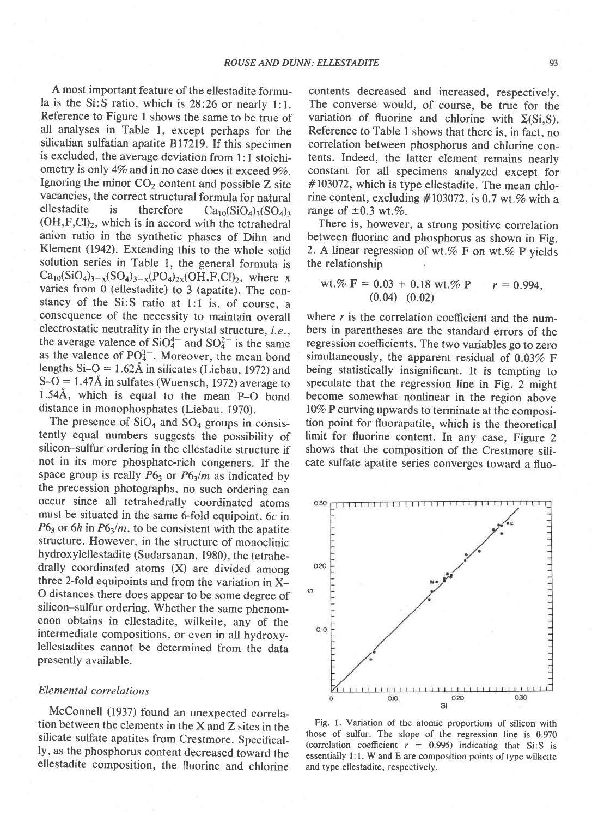A most important feature of the ellestadite formula is the Si:S ratio, which is 28:26 or nearly l:1. Reference to Figure I shows the same to be true of all analyses in Table I, except perhaps for the silicatian sulfatian apatite Bl72l9.If this specimen is excluded, the average deviation from l: I stoichiometry is only 4% and in no case does it exceed 9%. Ignoring the minor  $CO<sub>2</sub>$  content and possible Z site vacancies, the correct structural formula for natural<br>ellestadite is therefore  $Ca_0(SO_0)_{0.05}(SO_0)_{0.05}$ is therefore  $Ca_{10}(SiO<sub>4</sub>)<sub>3</sub>(SO<sub>4</sub>)<sub>3</sub>$  $(OH, F, Cl)_2$ , which is in accord with the tetrahedral anion ratio in the synthetic phases of Dihn and Klement (1942). Extending this to the whole solid solution series in Table 1, the general formula is  $Ca_{10}(SiO_4)_{3-x}(SO_4)_{3-x}(PO_4)_{2x}(OH,F,Cl)_{2}$ , where x varies from 0 (ellestadite) to 3 (apatite). The constancy of the Si:S ratio at 1:l is, of course, a consequence of the necessity to maintain overall electrostatic neutrality in the crystal structure,  $i.e.,$ the average valence of  $SiO_4^{4-}$  and  $SO_4^{2-}$  is the same as the valence of  $PO_4^{3-}$ . Moreover, the mean bond lengths  $Si-O = 1.62\text{\AA}$  in silicates (Liebau, 1972) and  $S-O = 1.47\text{\AA}$  in sulfates (Wuensch, 1972) average to 1.544, which is equal to the mean p-O bond distance in monophosphates (Liebau, 1970).

The presence of  $SiO<sub>4</sub>$  and  $SO<sub>4</sub>$  groups in consistently equal numbers suggests the possibility of silicon-sulfur ordering in the ellestadite structure if not in its more phosphate-rich congeners. If the space group is really  $P6<sub>3</sub>$  or  $P6<sub>3</sub>/m$  as indicated by the precession photographs, no such ordering can occur since all tetrahedrally coordinated atoms must be situated in the same 6-fold equipoint, 6c in  $P6<sub>3</sub>$  or 6h in  $P6<sub>3</sub>/m$ , to be consistent with the apatite structure. However, in the structure of monoclinic hydroxylellestadite (Sudarsanan, 1980), the tetrahedrally coordinated atoms (X) are divided among three 2-fold equipoints and from the variation in X-O distances there does appear to be some degree of silicon-sulfur ordering. Whether the same phenomenon obtains in ellestadite, wilkeite, any of the intermediate compositions, or even in all hydroxylellestadites cannot be determined from the data presently available.

#### Elemental correlations

McConnell (1937) found an unexpected correlation between the elements in the X and Z sites in the silicate sulfate apatites from Crestmore. Specifically, as the phosphorus content decreased toward the ellestadite composition, the fluorine and chlorine

contents decreased and increased, respectively. The converse would, of course, be true for the variation of fluorine and chlorine with  $\Sigma(S_i, S)$ . Reference to Table I shows that there is, in fact, no correlation between phosphorus and chlorine contents. Indeed, the latter element remains nearly constant for all specimens analyzed except for #103072, which is type ellestadite. The mean chlorine content, excluding  $\#103072$ , is 0.7 wt.% with a range of  $\pm 0.3$  wt.%.

There is, however, a strong positive correlation between fluorine and phosphorus as shown in Fig. 2. A linear regression of wt.% F on wt.% P yields the relationship

wt
$$
\% F = 0.03 + 0.18
$$
 wt $\% P$   $r = 0.994$ ,  
(0.04) (0.02)

where  $r$  is the correlation coefficient and the numbers in parentheses are the standard errors of the regression coefficients. The two variables go to zero simultaneously, the apparent residual of 0.03% F being statistically insignificant. It is tempting to speculate that the regression line in Fig. 2 might become somewhat nonlinear in the region above l0% P curving upwards to terminate at the composition point for fluorapatite, which is the theoretical limit for fluorine content. In any case, Figure 2 shows that the composition of the Crestmore silicate sulfate apatite series converges toward a fluo-



Fig. I. Variation of the atomic proportions of silicon with those of sulfur. The slope of the regression line is 0.970 (correlation coefficient  $r = 0.995$ ) indicating that Si:S is essentially 1:1. W and E are composition points of type wilkeite and type ellestadite, respectively.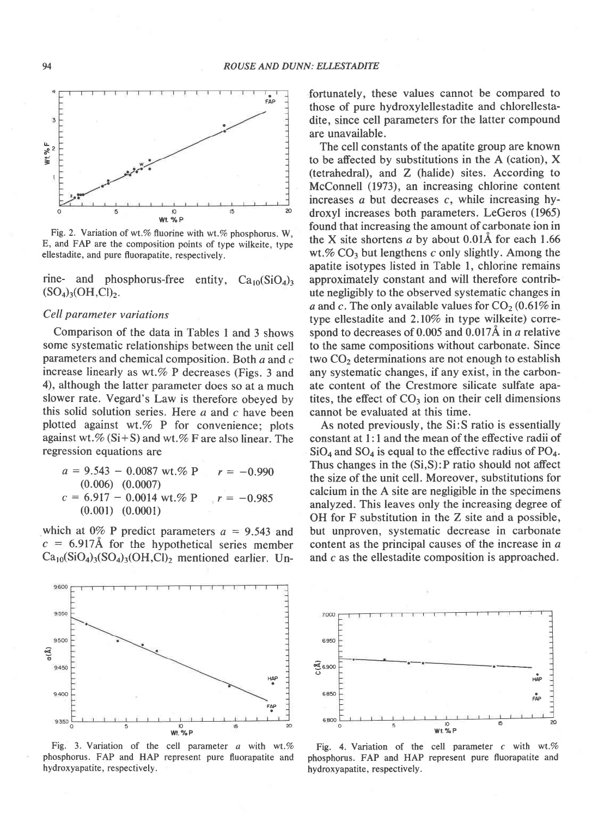

Fig. 2. Variation of wt.% fluorine with wt.% phosphorus. W, E, and FAP are the composition points of type wilkeite, type ellestadite, and pure fluorapatite, respectively.

rine- and phosphorus-free entity,  $Ca_{10}(SiO<sub>4</sub>)_3$  $(SO_4)_3(OH, Cl)_2.$ 

## Cell parameter variations

Comparison of the data in Tables 1 and 3 shows some systematic relationships between the unit cell parameters and chemical composition. Both a and c increase linearly as wt. $%$  P decreases (Figs. 3 and 4), although the latter parameter does so at a much slower rate. Vegard's Law is therefore obeyed by this solid solution series. Here  $a$  and  $c$  have been plotted against wt.% P for convenience; plots against wt.%  $(Si + S)$  and wt.% F are also linear. The regression equations are

 $a = 9.543 - 0.0087$  wt.% P (0.006) (0.0007)  $c = 6.917 - 0.0014$  wt.% P (0.001) (0.0001)  $= -0.990$  $r = -0.985$ 

which at 0% P predict parameters  $a = 9.543$  and  $c = 6.917$ Å for the hypothetical series member  $Ca_{10}(SiO<sub>4</sub>)<sub>3</sub>(SO<sub>4</sub>)<sub>3</sub>(OH,Cl)<sub>2</sub>$  mentioned earlier. Unfortunately, these values cannot be compared to those of pure hydroxylellestadite and chlorellestadite, since cell parameters for the latter compound are unavailable.

The cell constants of the apatite group are known to be affected by substitutions in the A (cation), X (tetrahedral), and Z (halide) sites. According to McConnell (1973), an increasing chlorine content increases a but decreases c, while increasing hydroxyl increases both parameters. LeGeros (1965) found that increasing the amount of carbonate ion in the X site shortens a by about  $0.01\text{\AA}$  for each 1.66 wt.%  $CO<sub>3</sub>$  but lengthens c only slightly. Among the apatite isotypes listed in Table 1, chlorine remains approximately constant and will therefore contribute negligibly to the observed systematic changes in a and c. The only available values for  $CO<sub>2</sub> (0.61\%$  in type ellestadite and  $2.10\%$  in type wilkeite) correspond to decreases of  $0.005$  and  $0.017\text{\AA}$  in a relative to the same compositions without carbonate. Since two  $CO<sub>2</sub>$  determinations are not enough to establish any systematic changes, if any exist, in the carbonate content of the Crestmore silicate sulfate apatites, the effect of  $CO<sub>3</sub>$  ion on their cell dimensions cannot be evaluated at this time.

As noted previously, the Si:S ratio is essentially constant at l:1 and the mean of the effective radii of  $SiO<sub>4</sub>$  and  $SO<sub>4</sub>$  is equal to the effective radius of PO<sub>4</sub>. Thus changes in the (Si,S):P ratio should not affect the size of the unit cell. Moreover. substitutions for calcium in the A site are negligible in the specimens analyzed. This leaves only the increasing degree of OH for F substitution in the Z site and a possible, but unproven, systematic decrease in carbonate content as the principal causes of the increase in a and c as the ellestadite composition is approached.



Fig. 3. Variation of the cell parameter  $a$  with wt.% phosphorus. FAP and HAP represent pure fluorapatite and hydroxyapatite, respectively.



a with wt.% Fig. 4. Variation of the cell parameter c with wt.% fluorapatite and phosphorus. FAP and HAP represent pure fluorapatite and hydroxyapatite, respectively.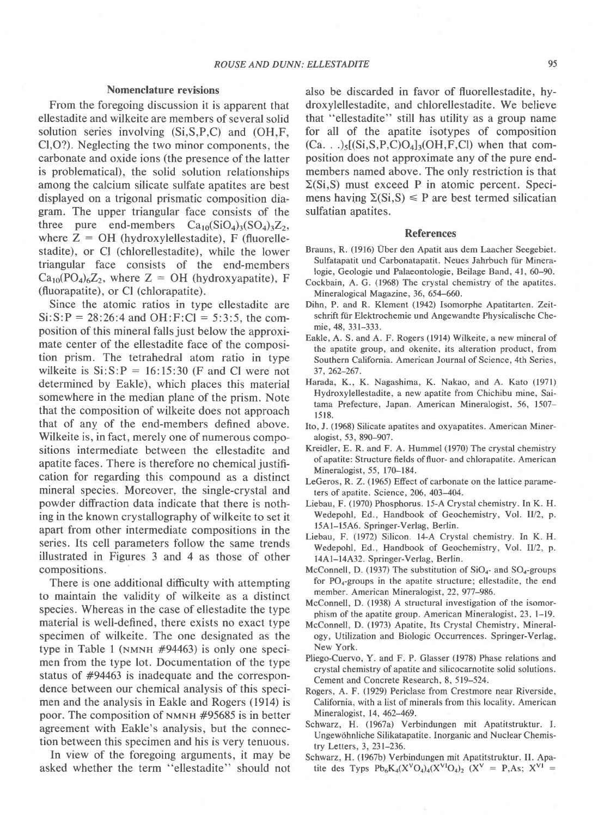#### Nomenclature reyisions

From the foregoing discussion it is apparent that ellestadite and wilkeite are members of several solid solution series involving (Si,S,P,C) and (OH,F, Cl,O?). Neglecting the two minor components, the carbonate and oxide ions (the presence of the latter is problematical), the solid solution relationships among the calcium silicate sulfate apatites are best displayed on a trigonal prismatic composition diagram. The upper triangular face consists of the three pure end-members  $Ca_{10}(SiO<sub>4</sub>)<sub>3</sub>(SO<sub>4</sub>)<sub>3</sub>Z<sub>2</sub>$ , where  $Z = OH$  (hydroxylellestadite), F (fluorellestadite), or Cl (chlorellestadite), while the lower triangular face consists of the end-members  $Ca_{10}(PO_4)_6Z_2$ , where  $Z = OH$  (hydroxyapatite), F (fluorapatite), or Cl (chlorapatite).

Since the atomic ratios in type ellestadite are  $Si: S: P = 28:26:4$  and  $OH: F: Cl = 5:3:5$ , the composition of this mineral falls just below the approximate center of the ellestadite face of the composition prism. The tetrahedral atom ratio in type wilkeite is  $Si: S: P = 16:15:30$  (F and Cl were not determined by Eakle), which places this material somewhere in the median plane of the prism. Note that the composition of wilkeite does not approach that of any of the end-members defined above. Wilkeite is, in fact, merely one of numerous compositions intermediate between the ellestadite and apatite faces. There is therefore no chemical justification for regarding this compound as a distinct mineral species. Moreover, the single-crystal and powder diffraction data indicate that there is noth. ing in the known crystallography of wilkeite to set it apart from other intermediate compositions in the series. Its cell parameters follow the same trends illustrated in Figures 3 and 4 as those of other compositions.

There is one additional difficulty with attempting to maintain the validity of wilkeite as a distinct species. Whereas in the case of ellestadite the type material is well-defined, there exists no exact type specimen of wilkeite. The one designated as the type in Table 1 (NMNH  $#94463$ ) is only one specimen from the type lot. Documentation of the type status of #94463 is inadequate and the correspondence between our chemical analysis of this specimen and the analysis in Eakle and Rogers (1914) is poor. The composition of  $N$ <sub>MNH</sub>  $#95685$  is in better agreement with Eakle's analysis, but the connection between this specimen and his is very tenuous.

In view of the foregoing arguments, it may be asked whether the term "ellestadite" should not also be discarded in favor of fluorellestadite, hydroxylellestadite, and chlorellestadite. We believe that "ellestadite" still has utility as a group name for all of the apatite isotypes of composition  $(Ca.$ ... $\frac{1}{5}$ [(Si,S,P,C)O<sub>4</sub>]<sub>3</sub>(OH,F,Cl) when that composition does not approximate any of the pure endmembers named above. The only restriction is that  $\Sigma(S_i, S)$  must exceed P in atomic percent. Specimens having  $\Sigma(S_i, S) \leq P$  are best termed silicatian sulfatian apatites.

## References

- Brauns, R. (1916) Uber den Apatit aus dem Laacher Seegebiet. Sulfatapatit und Carbonatapatit. Neues Jahrbuch fiir Mineralogie, Geologie und Palaeontologie, Beilage Band, 41, 60-90.
- Cockbain, A. G. (1968) The crystal chemistry of the apatites. Mineralogical Magazine, 36, 654-660.
- Dihn, P. and R. Klement (1942) Isomorphe Apatitarten. Zeitschrift für Elektrochemie und Angewandte Physicalische Chemie, 48, 331-333.
- Eakle, A. S. and A. F. Rogers (1914) Wilkeite, a new mineral of the apatite group, and okenite, its alteration product, from Southern California. American Journal of Science, 4th Series, 37,262-267.
- Harada, K., K. Nagashima, K. Nakao, and A. Kato (1971) Hydroxylellestadite, a new apatite from Chichibu mine, Saitama Prefecture, Japan. American Mineralogist, 56, 1507 l5 18.
- Ito, J. (1968) Silicate apatites and oxyapatites. American Mineralogist, 53, 890-907.
- Kreidler, E. R. and F. A. Hummel (1970) The crystal chemistry ofapatite: Structure fields offluor- and chlorapatite. American Mineralogist, 55, 170-184.
- LeGeros, R. Z. (1965) Effect of carbonate on the lattice parameters of apatite. Science, 206, 403-404.
- Liebau, F. (1970) Phosphorus. l5-A Crystal chemistry. In K. H. Wedepohl, Ed., Handbook of Geochemistry, Vol. II/2, p. 15A1-15A6. Springer-Verlag, Berlin.
- Liebau, F. (1972) Silicon. l4-A Crystal chemistry. In K. H. Wedepohl, Ed., Handbook of Geochemistry, Vol. II/2, p. 14Al-14432. Springer-Verlag, Berlin.
- McConnell, D. (1937) The substitution of  $SiO<sub>4</sub>$  and  $SO<sub>4</sub>$ -groups for  $PO_4$ -groups in the apatite structure; ellestadite, the end member. American Mineralogist, 22, 977-986.
- McConnell, D. (1938) A structural investigation of the isomorphism of the apatite group. American Mineralogist,23, l-19.
- McConnell, D. (1973) Apatite, Its Crystal Chemistry, Mineralogy, Utilization and Biologic Occurrences. Springer-Verlag, New York.
- Pliego-Cuervo, Y. and F. P. Glasser (1978) Phase relations and crystal chemistry of apatite and silicocarnotite solid solutions. Cement and Concrete Research, 8, 519-524.
- Rogers, A. F. (1929) Periclase from Crestmore near Riverside, California, with a list of minerals from this locality. American Mineralogist, 14, 462-469.
- Schwarz, H. (1967a) Verbindungen mit Apatitstruktur. I. Ungewdhnliche Silikatapatite. Inorganic and Nuclear Chemistry Letters, 3, 231-236.
- Schwarz, H. (1967b) Verbindungen mit Apatitstruktur. II. Apatite des Typs  $Pb_6K_4(X^VO_4)_4(X^{VI}O_4)_2$   $(X^V = P, As; X^{VI} =$